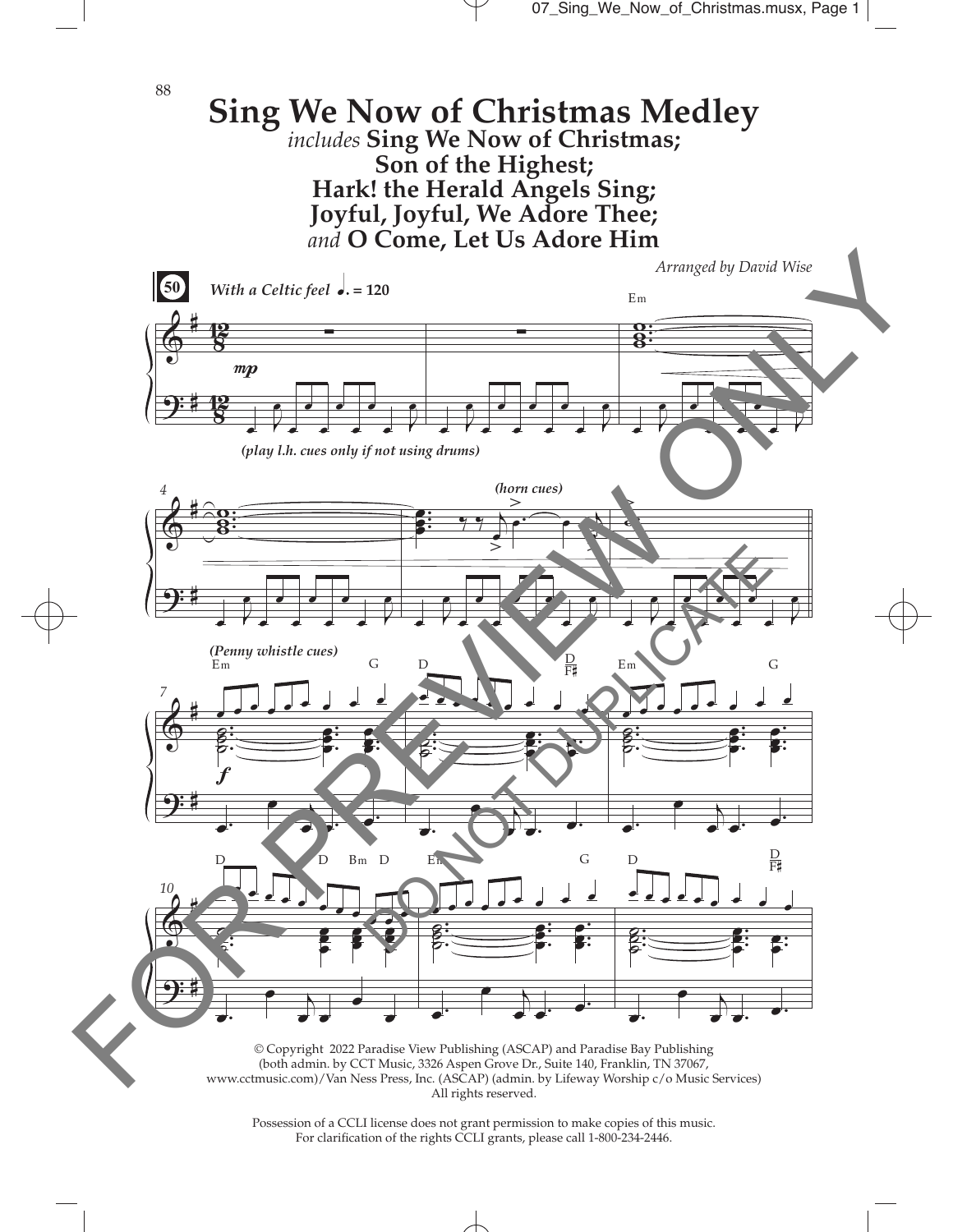

Possession of a CCLI license does not grant permission to make copies of this music. For clarifcation of the rights CCLI grants, please call 1-800-234-2446.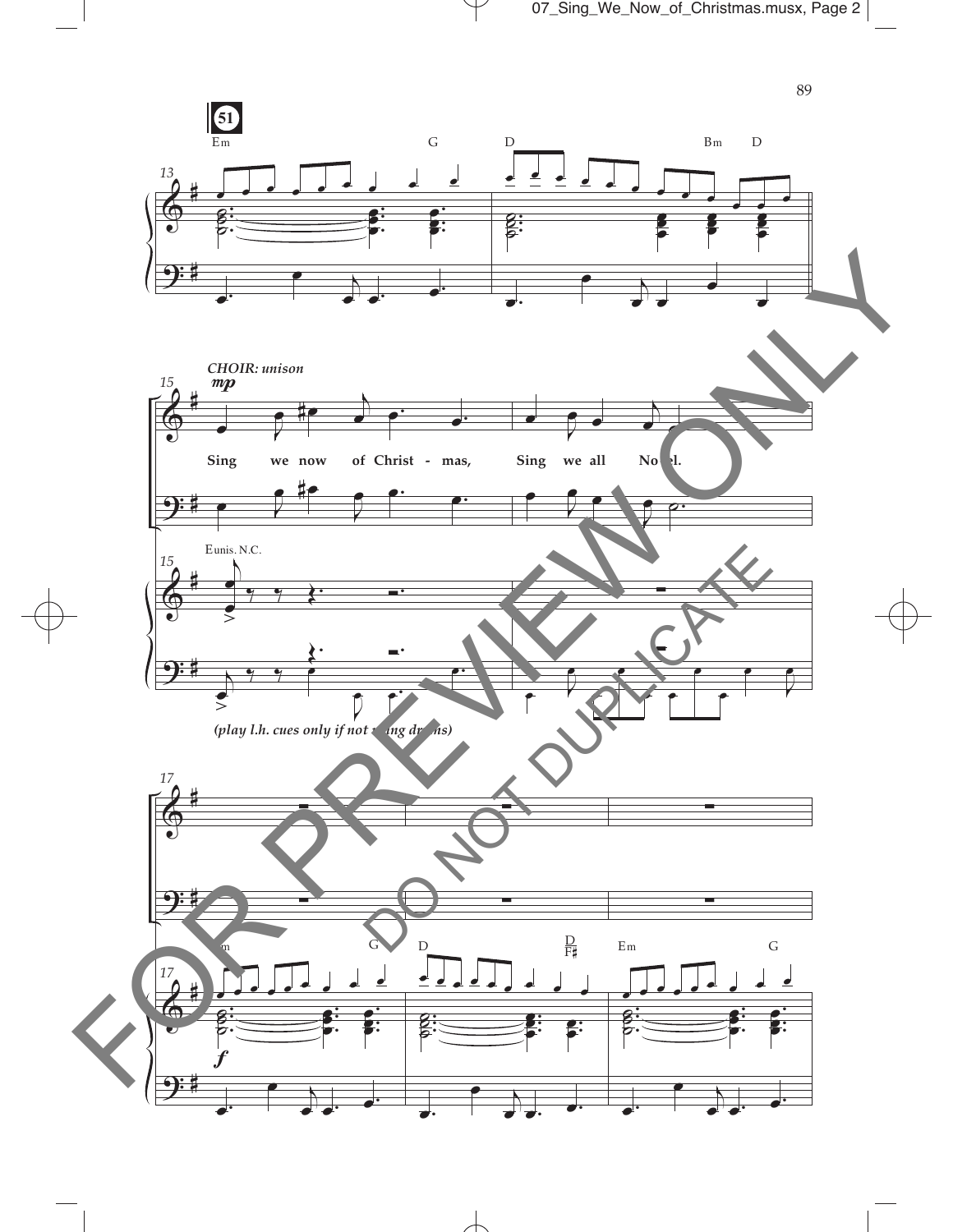

 $\overline{\mathcal{A}}$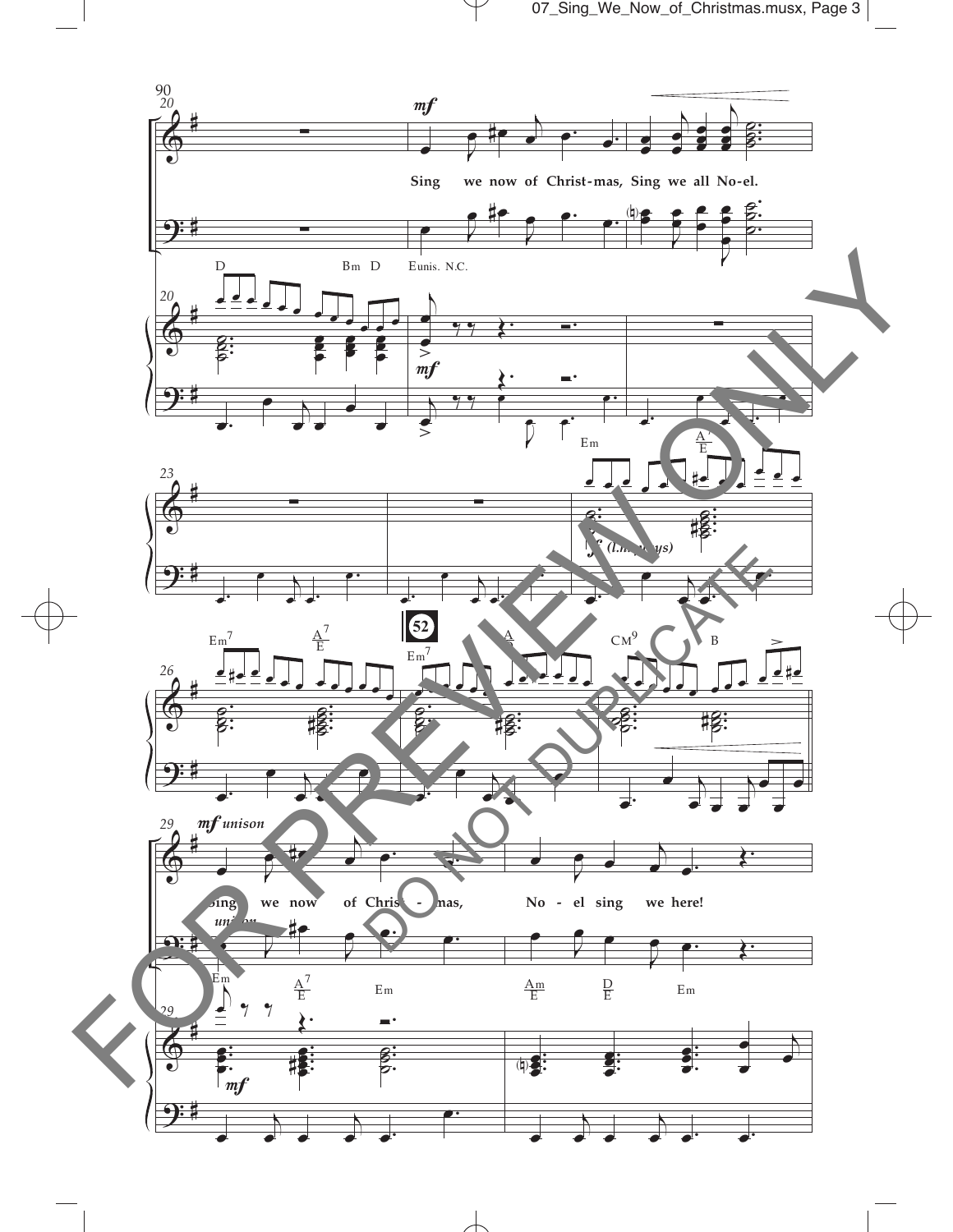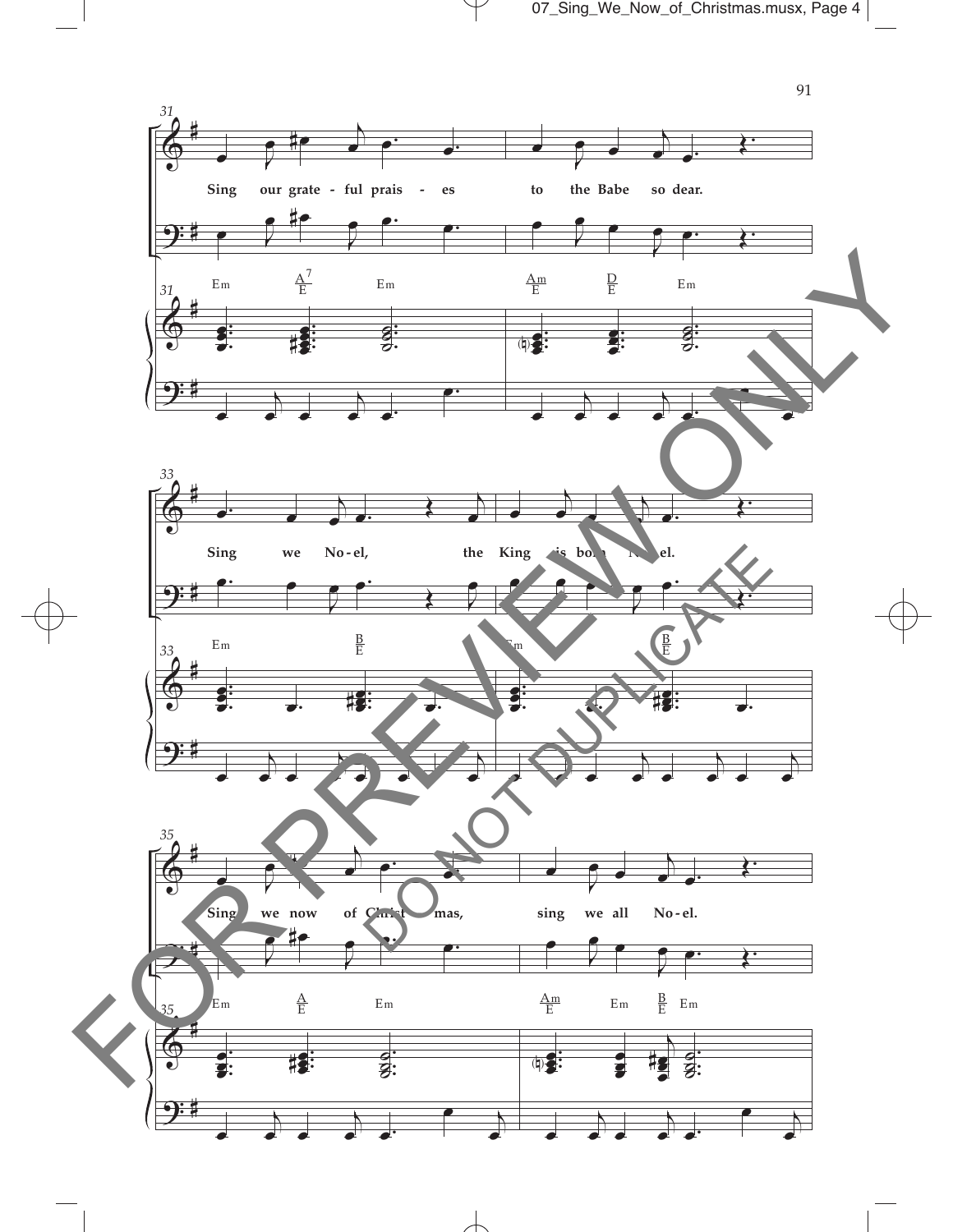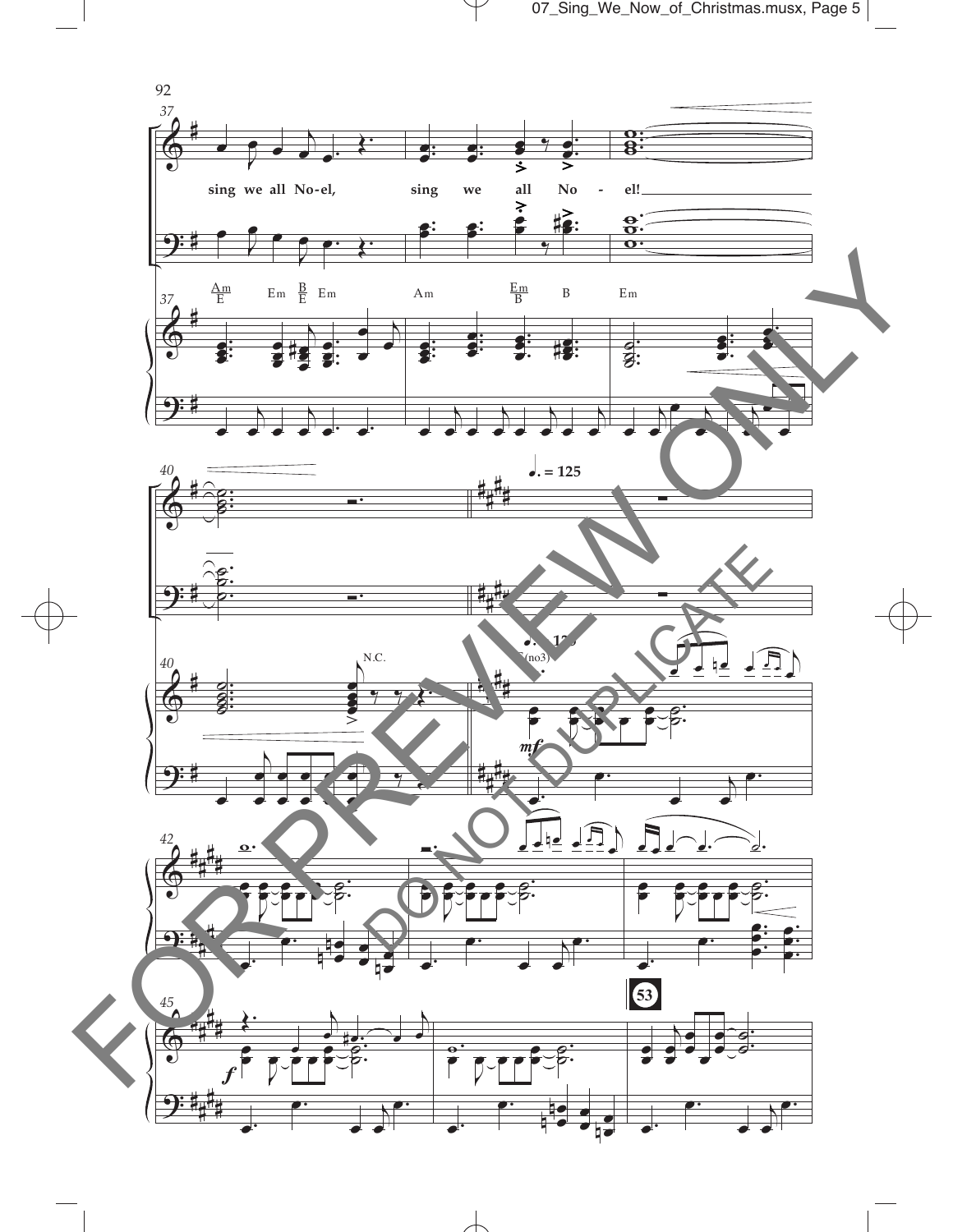07\_Sing\_We\_Now\_of\_Christmas.musx, Page 5

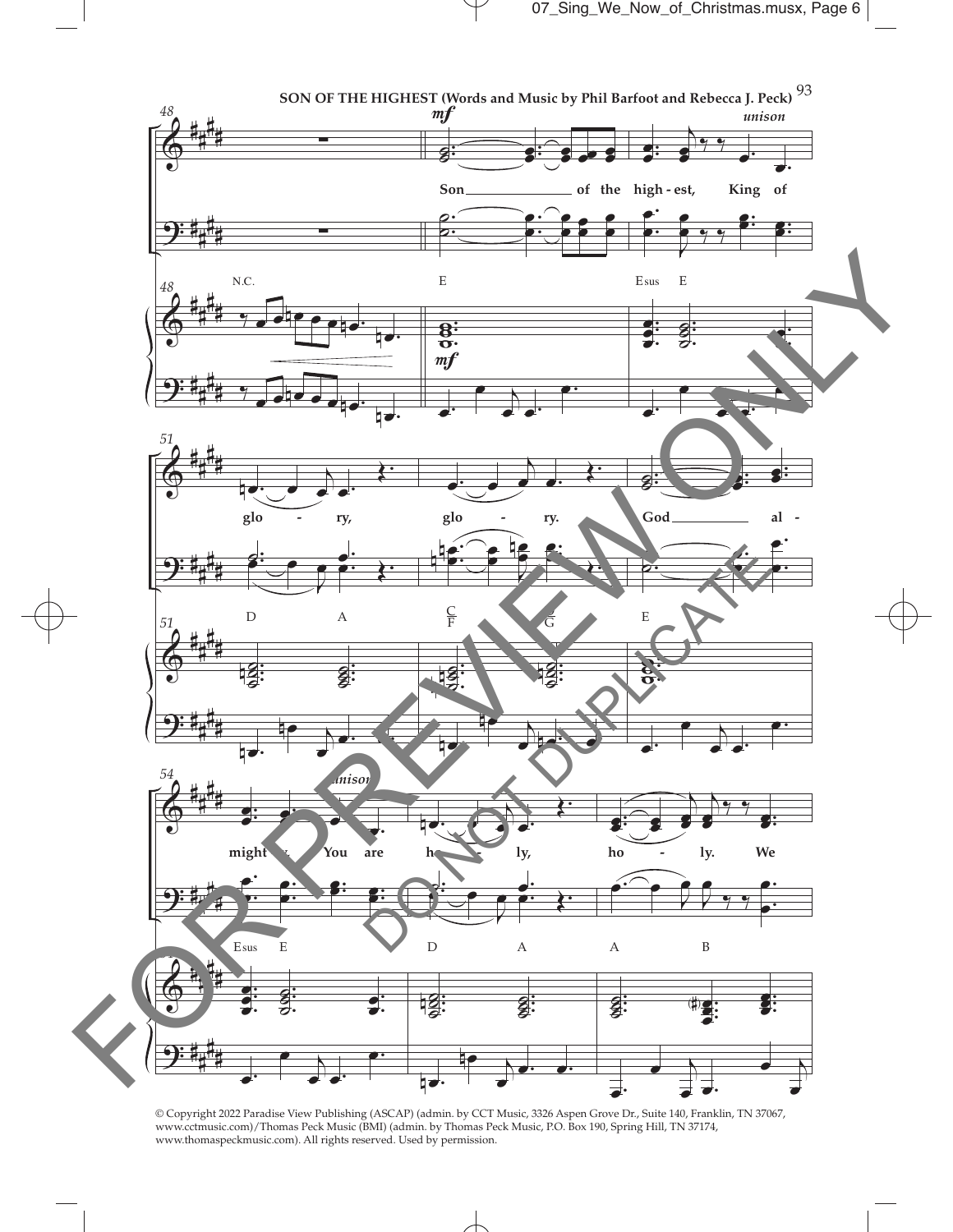

© Copyright 2022 Paradise View Publishing (ASCAP) (admin. by CCT Music, 3326 Aspen Grove Dr., Suite 140, Franklin, TN 37067, www.cctmusic.com)/Thomas Peck Music (BMI) (admin. by Thomas Peck Music, P.O. Box 190, Spring Hill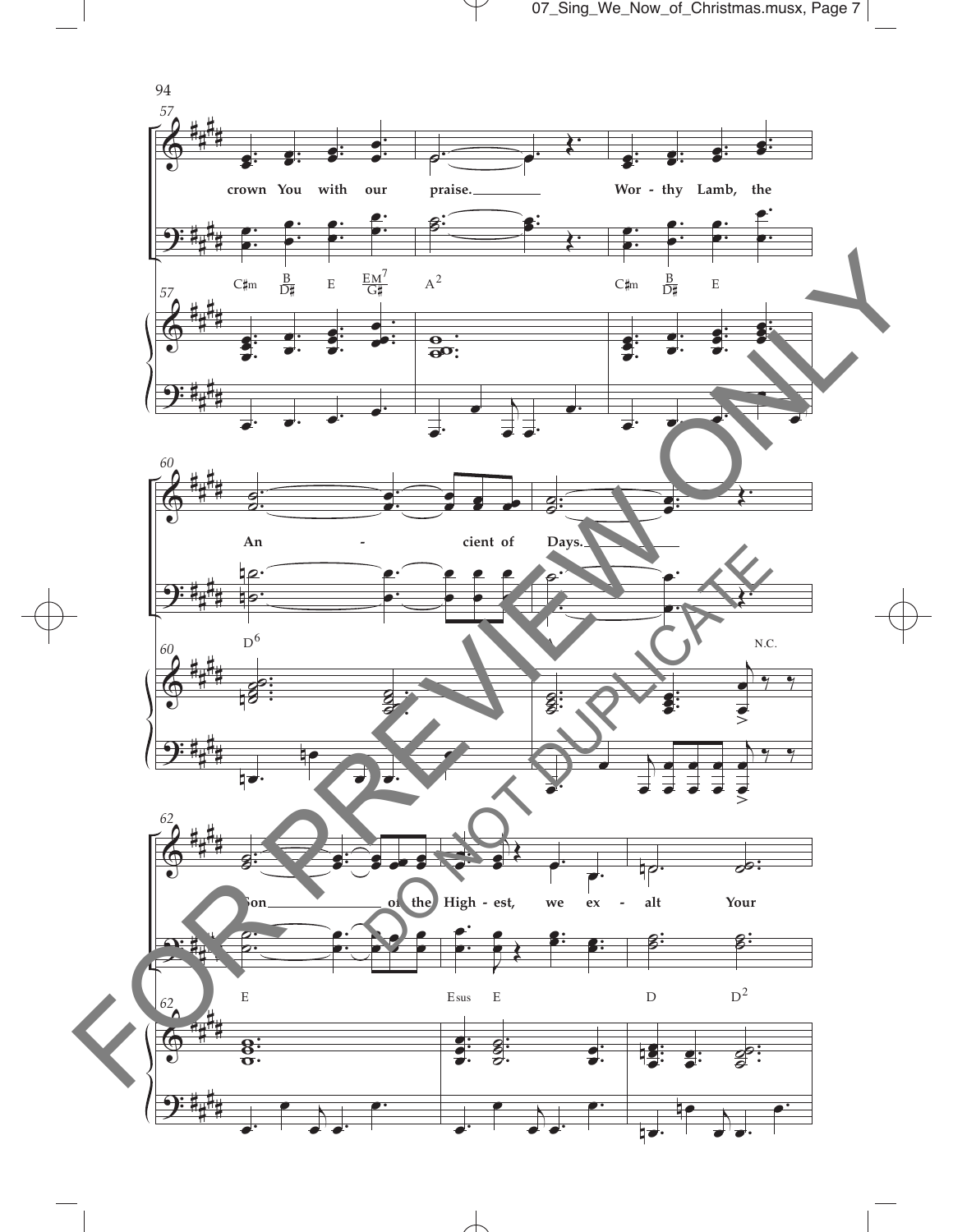07\_Sing\_We\_Now\_of\_Christmas.musx, Page 7

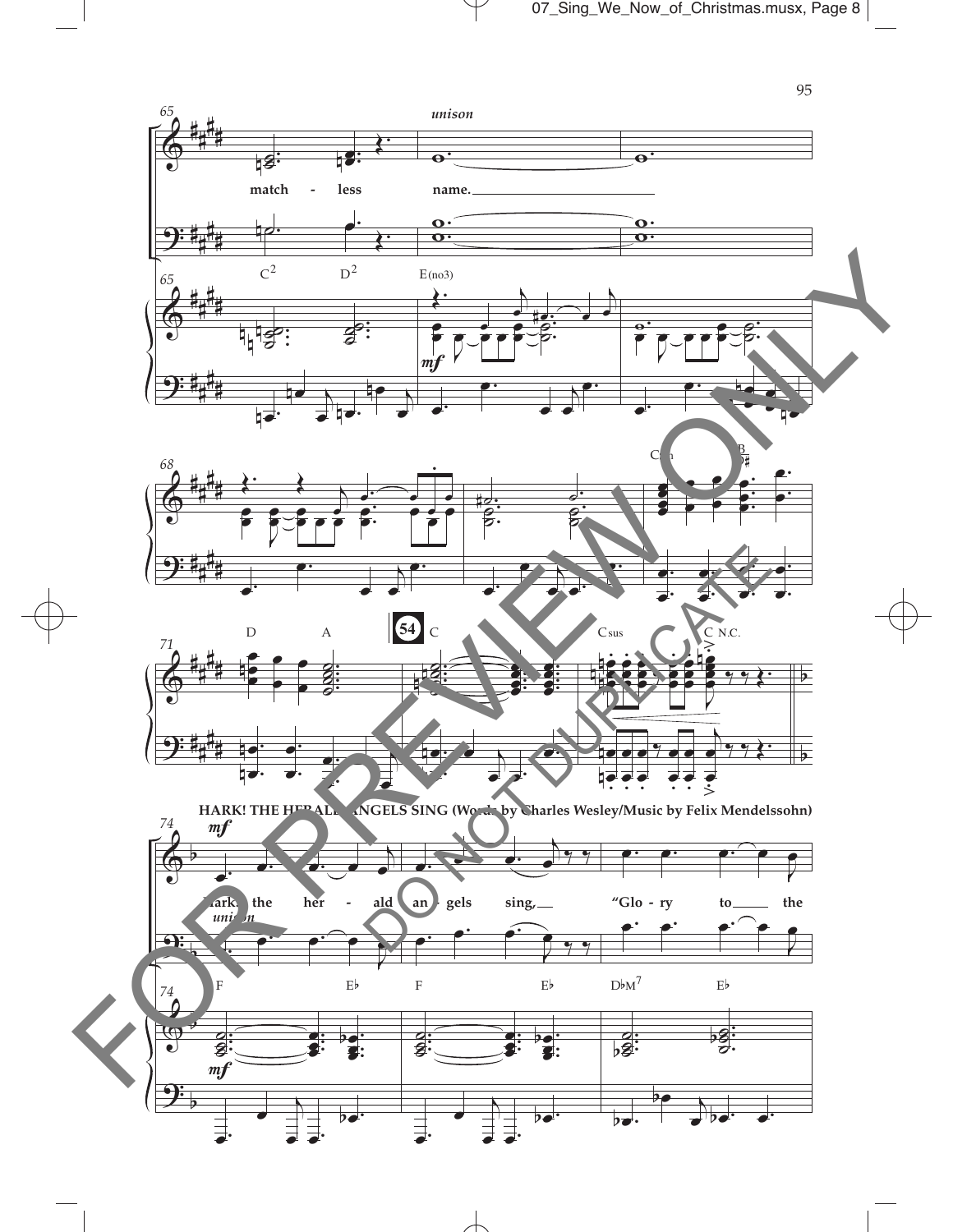

 $\overline{\mathcal{A}}$ 

95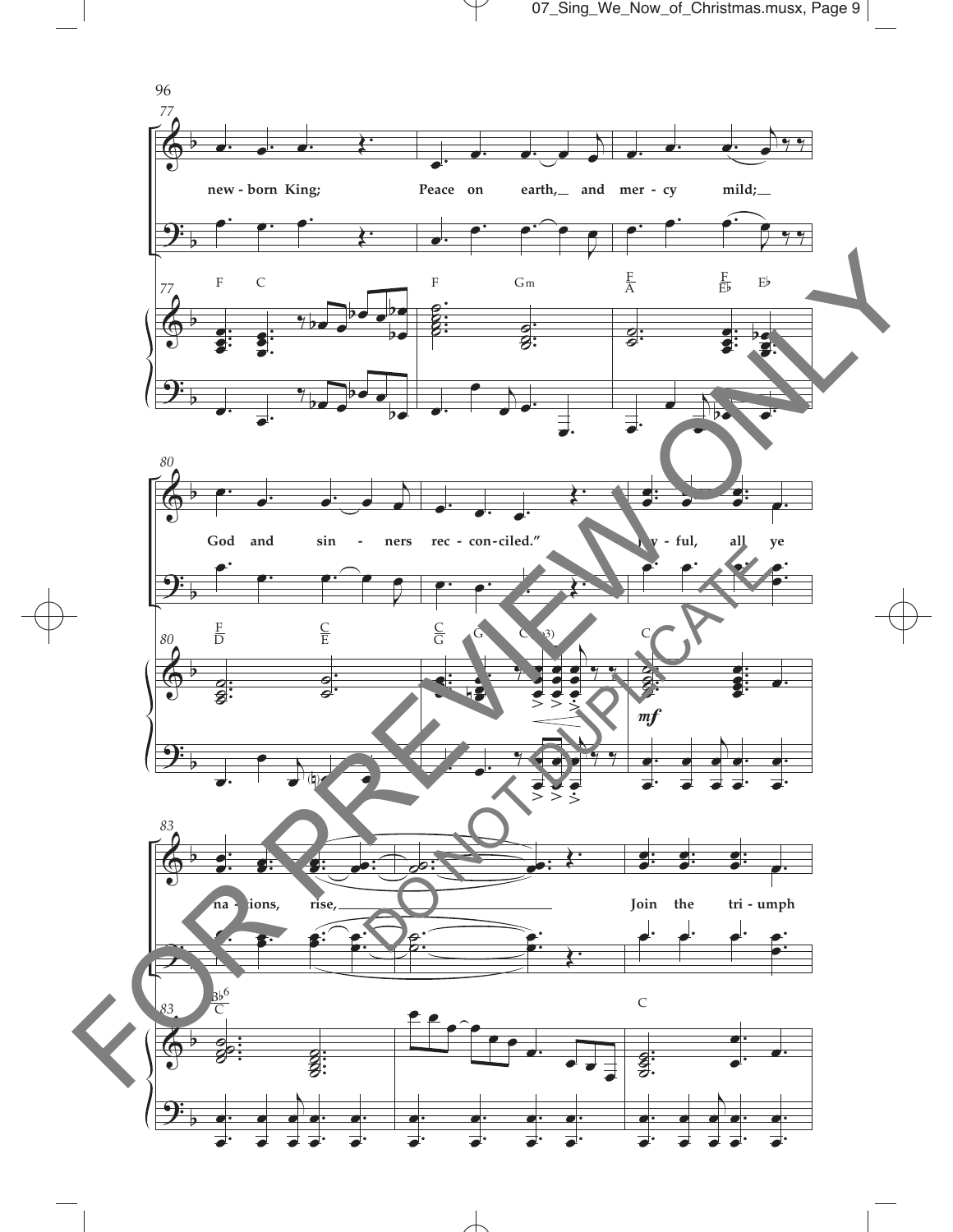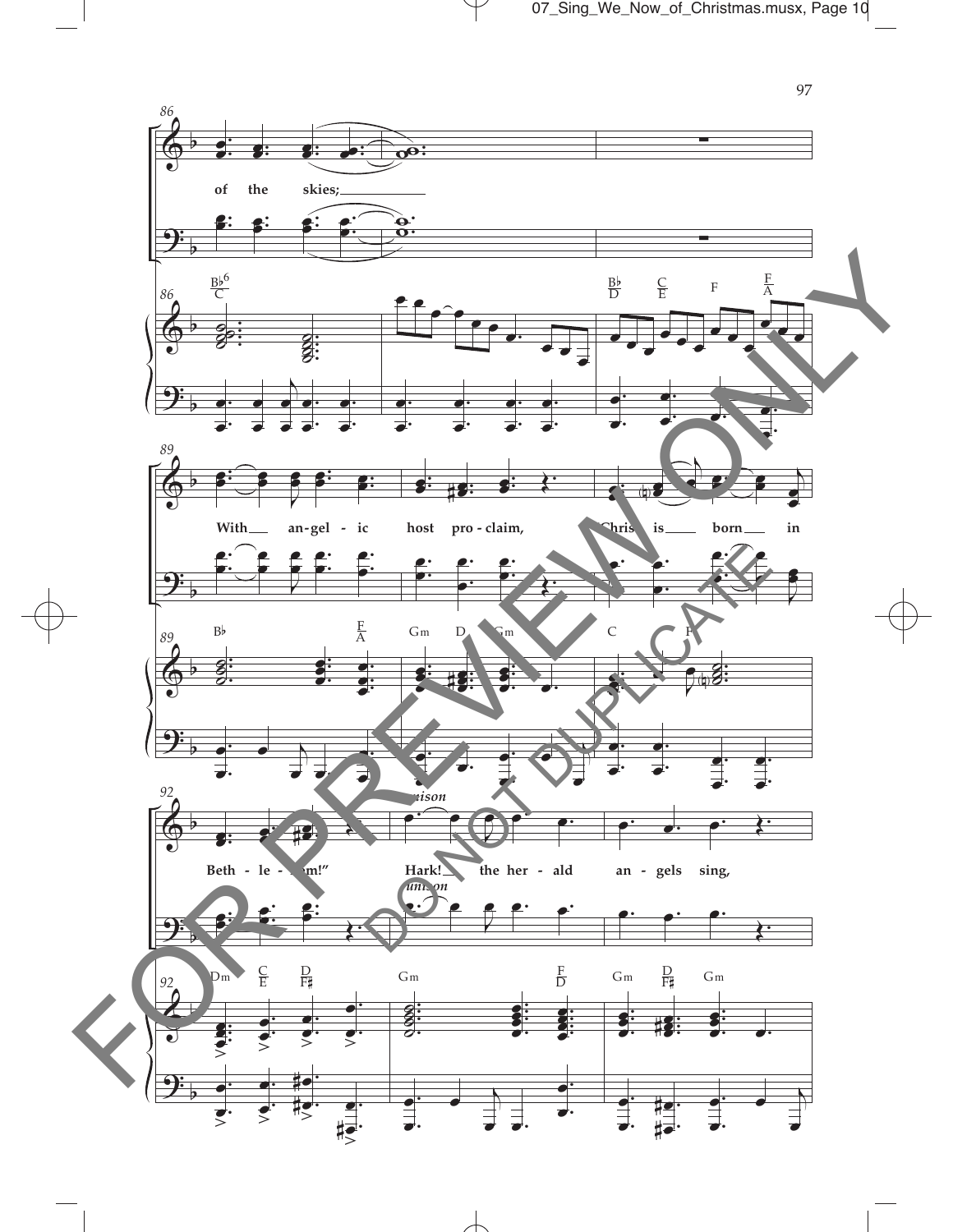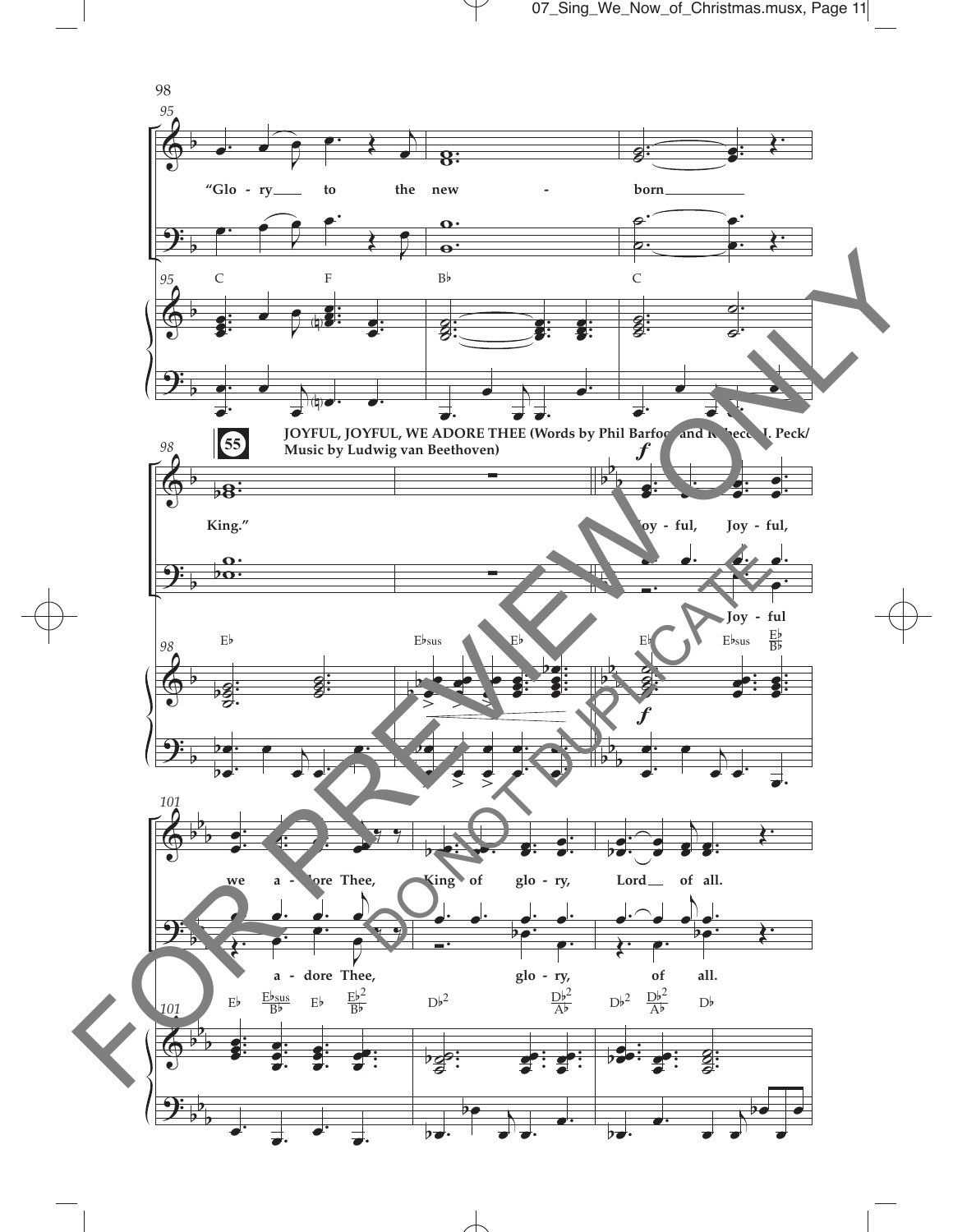

 $\overline{\mathcal{A}}$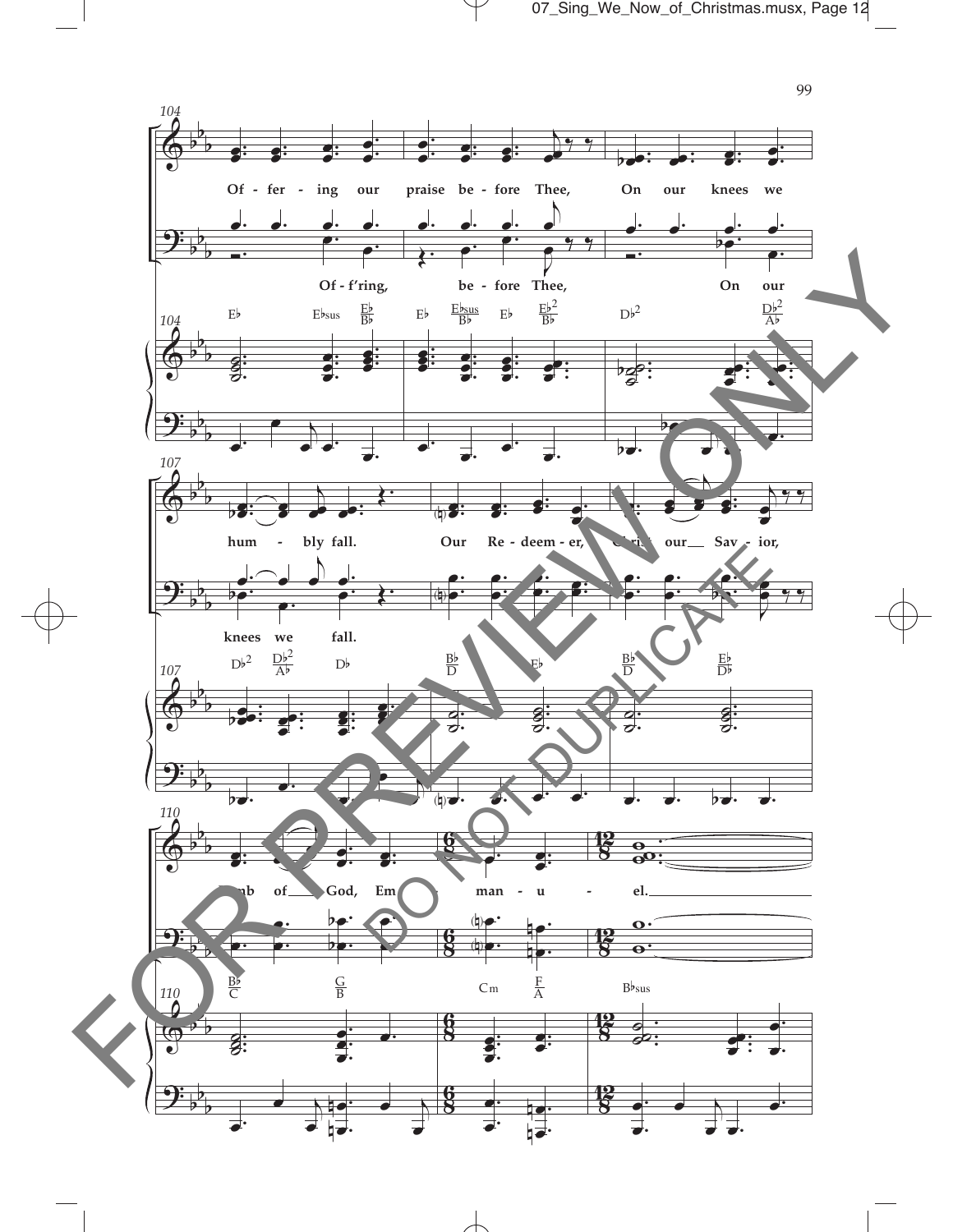07\_Sing\_We\_Now\_of\_Christmas.musx, Page 12

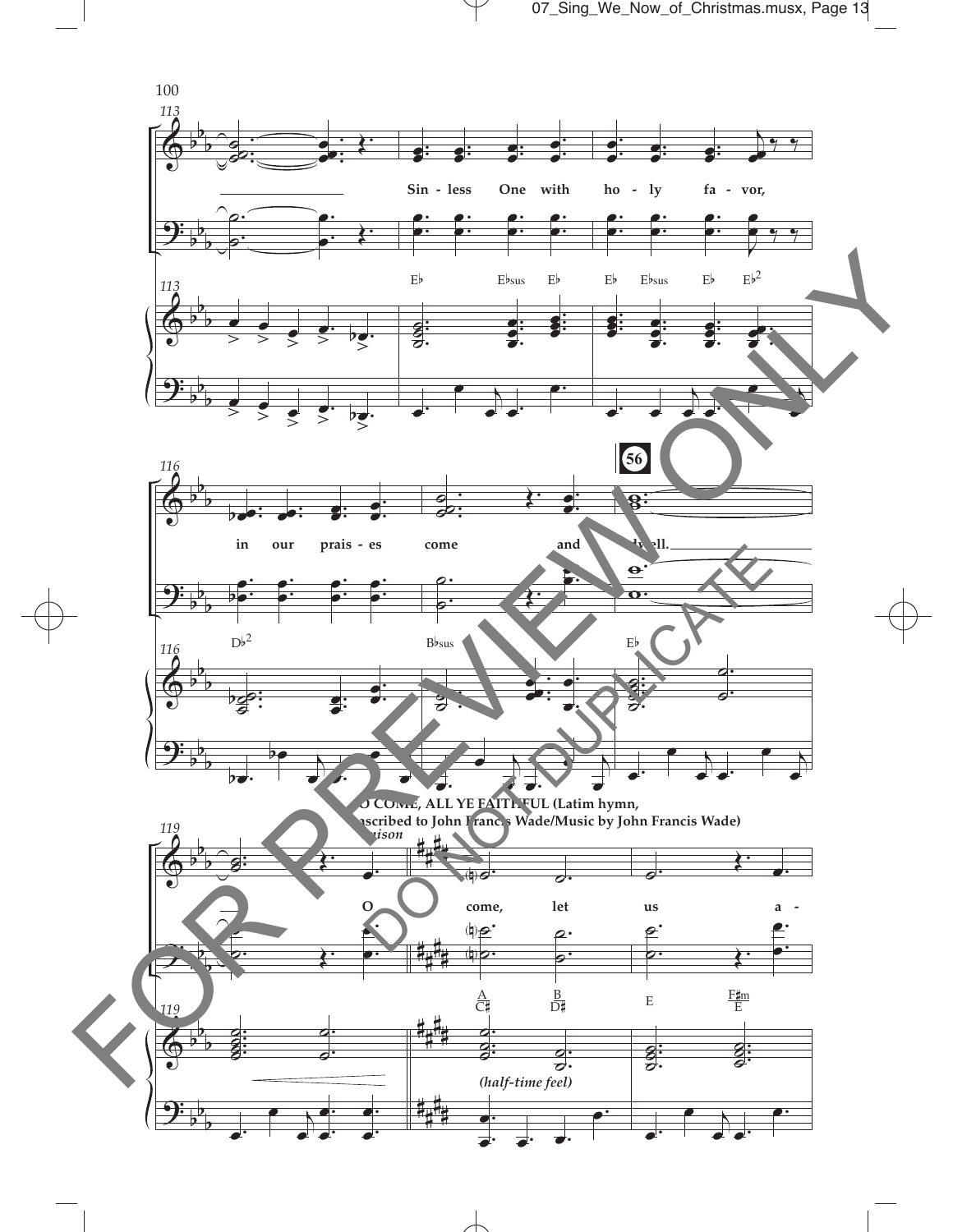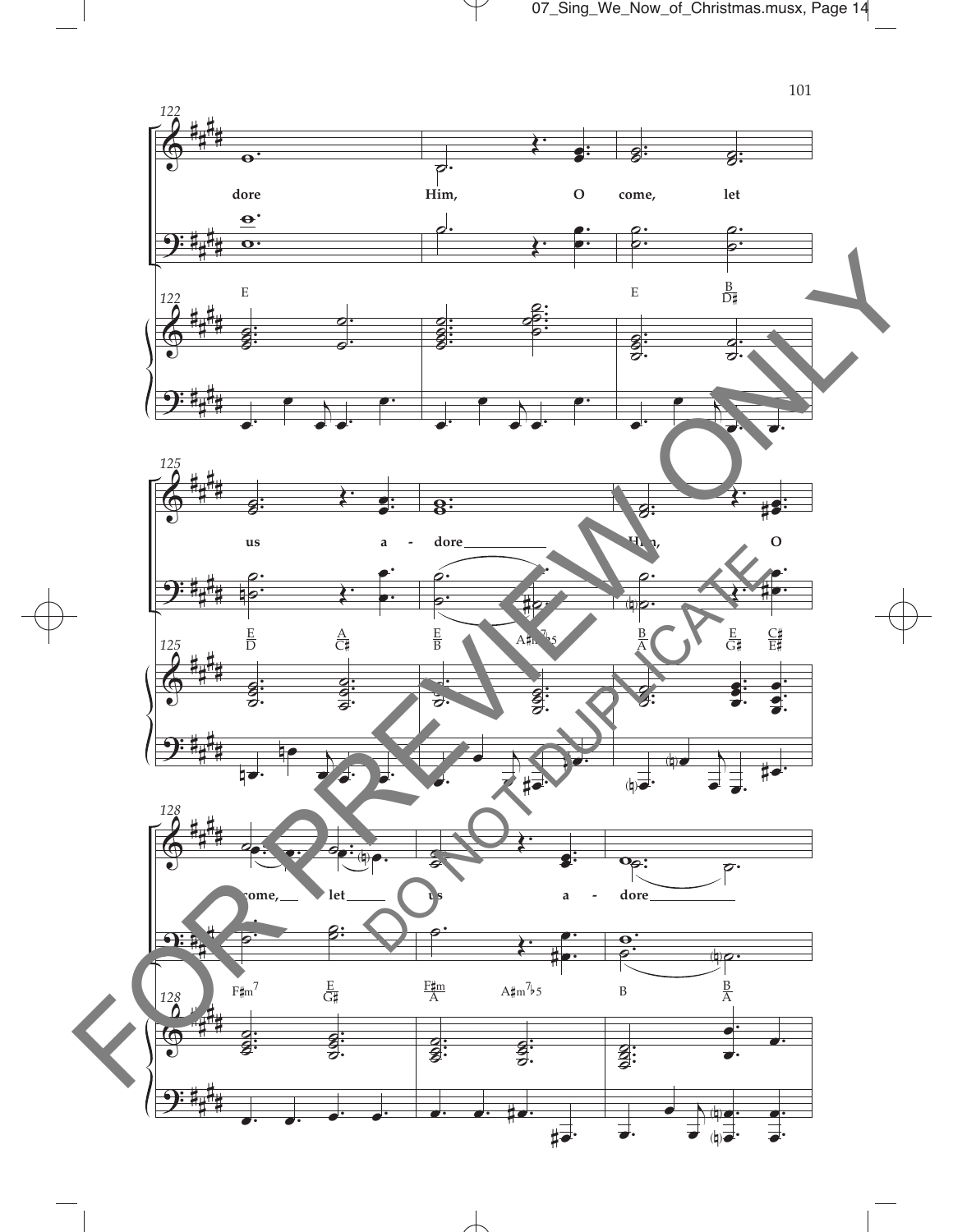07\_Sing\_We\_Now\_of\_Christmas.musx, Page 14



 $\overline{\mathcal{A}}$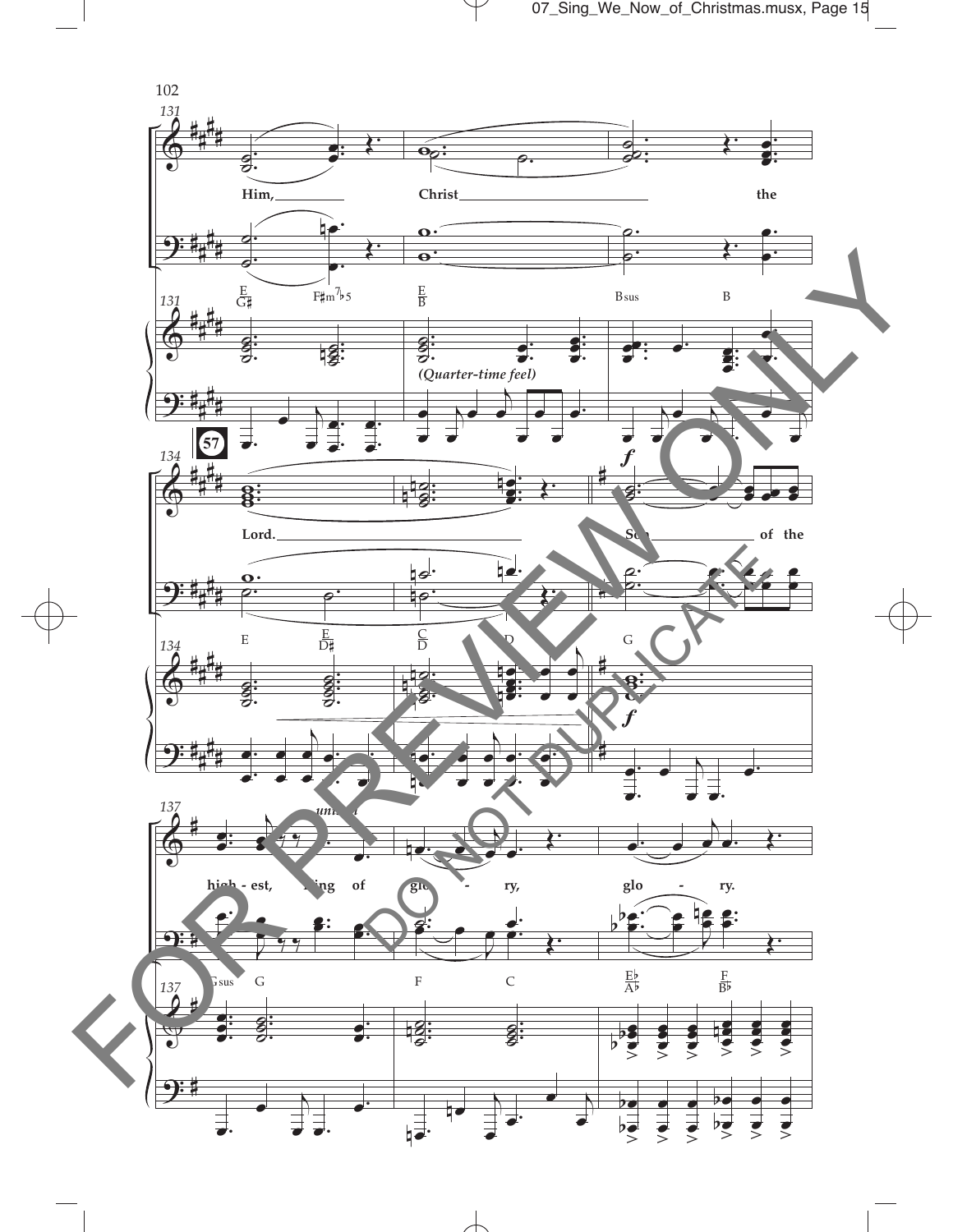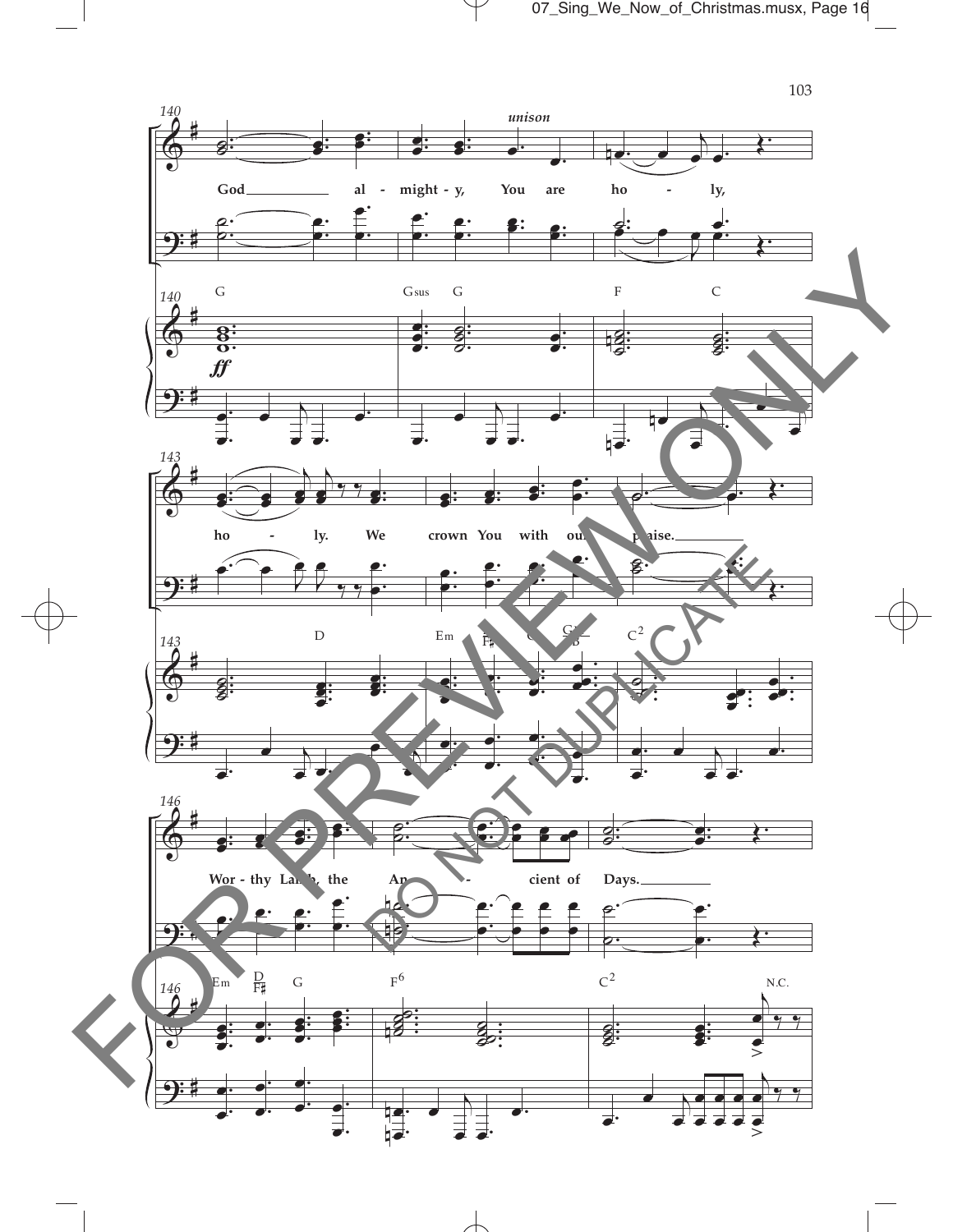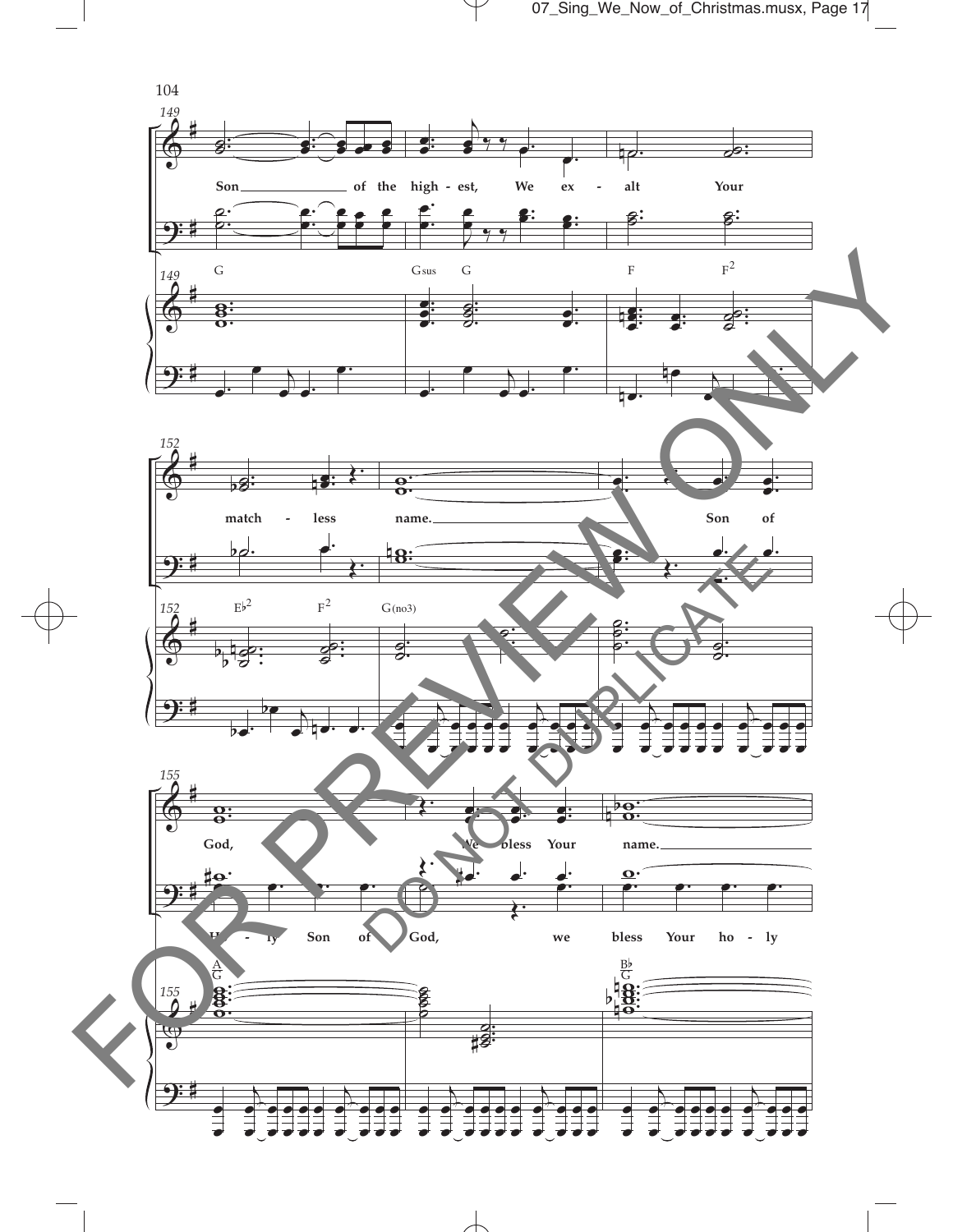07\_Sing\_We\_Now\_of\_Christmas.musx, Page 17